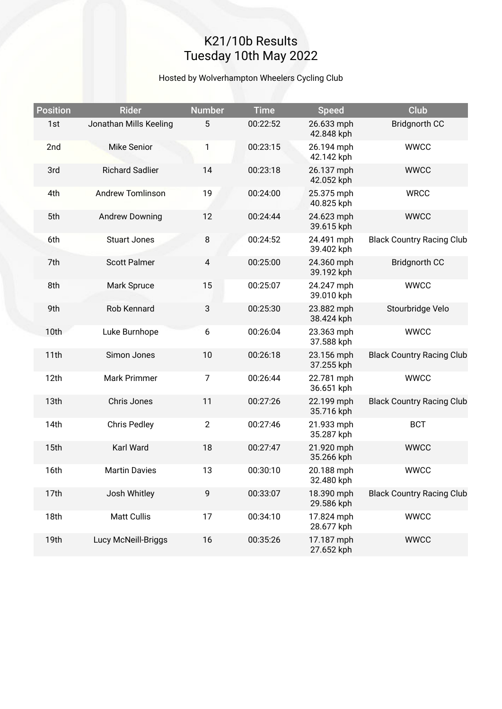## K21/10b Results Tuesday 10th May 2022

### Hosted by Wolverhampton Wheelers Cycling Club

| <b>Position</b> | <b>Rider</b>            | <b>Number</b>  | <b>Time</b> | <b>Speed</b>             | <b>Club</b>                      |
|-----------------|-------------------------|----------------|-------------|--------------------------|----------------------------------|
| 1st             | Jonathan Mills Keeling  | 5              | 00:22:52    | 26.633 mph<br>42.848 kph | <b>Bridgnorth CC</b>             |
| 2nd             | <b>Mike Senior</b>      | 1              | 00:23:15    | 26.194 mph<br>42.142 kph | <b>WWCC</b>                      |
| 3rd             | <b>Richard Sadlier</b>  | 14             | 00:23:18    | 26.137 mph<br>42.052 kph | <b>WWCC</b>                      |
| 4th             | <b>Andrew Tomlinson</b> | 19             | 00:24:00    | 25.375 mph<br>40.825 kph | <b>WRCC</b>                      |
| 5th             | <b>Andrew Downing</b>   | 12             | 00:24:44    | 24.623 mph<br>39.615 kph | <b>WWCC</b>                      |
| 6th             | <b>Stuart Jones</b>     | 8              | 00:24:52    | 24.491 mph<br>39.402 kph | <b>Black Country Racing Club</b> |
| 7th             | <b>Scott Palmer</b>     | $\overline{4}$ | 00:25:00    | 24.360 mph<br>39.192 kph | <b>Bridgnorth CC</b>             |
| 8th             | Mark Spruce             | 15             | 00:25:07    | 24.247 mph<br>39.010 kph | <b>WWCC</b>                      |
| 9th             | <b>Rob Kennard</b>      | 3              | 00:25:30    | 23.882 mph<br>38.424 kph | Stourbridge Velo                 |
| 10th            | Luke Burnhope           | 6              | 00:26:04    | 23.363 mph<br>37.588 kph | <b>WWCC</b>                      |
| 11th            | Simon Jones             | 10             | 00:26:18    | 23.156 mph<br>37.255 kph | <b>Black Country Racing Club</b> |
| 12th            | Mark Primmer            | $\overline{7}$ | 00:26:44    | 22.781 mph<br>36.651 kph | <b>WWCC</b>                      |
| 13th            | Chris Jones             | 11             | 00:27:26    | 22.199 mph<br>35.716 kph | <b>Black Country Racing Club</b> |
| 14th            | <b>Chris Pedley</b>     | $\overline{2}$ | 00:27:46    | 21.933 mph<br>35.287 kph | <b>BCT</b>                       |
| 15th            | Karl Ward               | 18             | 00:27:47    | 21.920 mph<br>35.266 kph | <b>WWCC</b>                      |
| 16th            | <b>Martin Davies</b>    | 13             | 00:30:10    | 20.188 mph<br>32.480 kph | <b>WWCC</b>                      |
| 17th            | Josh Whitley            | 9              | 00:33:07    | 18.390 mph<br>29.586 kph | <b>Black Country Racing Club</b> |
| 18th            | <b>Matt Cullis</b>      | 17             | 00:34:10    | 17.824 mph<br>28.677 kph | <b>WWCC</b>                      |
| 19th            | Lucy McNeill-Briggs     | 16             | 00:35:26    | 17.187 mph<br>27.652 kph | <b>WWCC</b>                      |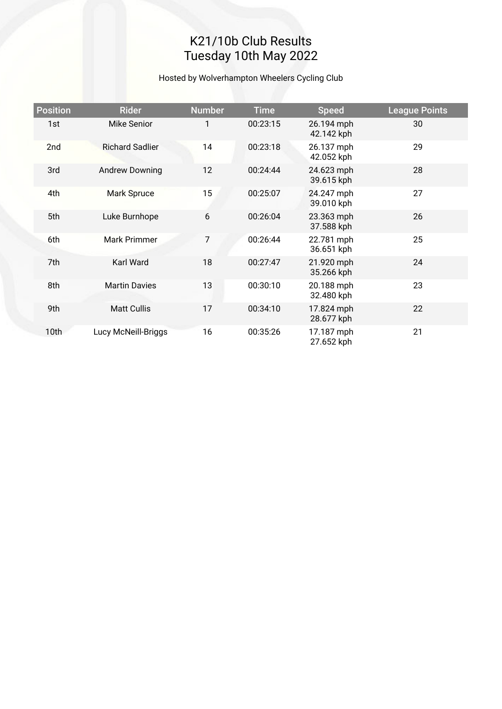# K21/10b Club Results Tuesday 10th May 2022

### Hosted by Wolverhampton Wheelers Cycling Club

| <b>Position</b> | <b>Rider</b>           | <b>Number</b> | <b>Time</b> | <b>Speed</b>             | <b>League Points</b> |  |  |
|-----------------|------------------------|---------------|-------------|--------------------------|----------------------|--|--|
| 1st             | <b>Mike Senior</b>     | 1             | 00:23:15    | 26.194 mph<br>42.142 kph | 30                   |  |  |
| 2nd             | <b>Richard Sadlier</b> | 14            | 00:23:18    | 26.137 mph<br>42.052 kph | 29                   |  |  |
| 3rd             | <b>Andrew Downing</b>  | 12            | 00:24:44    | 24.623 mph<br>39.615 kph | 28                   |  |  |
| 4th             | Mark Spruce            | 15            | 00:25:07    | 24.247 mph<br>39.010 kph | 27                   |  |  |
| 5th             | Luke Burnhope          | 6             | 00:26:04    | 23.363 mph<br>37.588 kph | 26                   |  |  |
| 6th             | Mark Primmer           | 7             | 00:26:44    | 22.781 mph<br>36.651 kph | 25                   |  |  |
| 7th             | Karl Ward              | 18            | 00:27:47    | 21.920 mph<br>35.266 kph | 24                   |  |  |
| 8th             | <b>Martin Davies</b>   | 13            | 00:30:10    | 20.188 mph<br>32.480 kph | 23                   |  |  |
| 9th             | <b>Matt Cullis</b>     | 17            | 00:34:10    | 17.824 mph<br>28.677 kph | 22                   |  |  |
| 10th            | Lucy McNeill-Briggs    | 16            | 00:35:26    | 17.187 mph<br>27.652 kph | 21                   |  |  |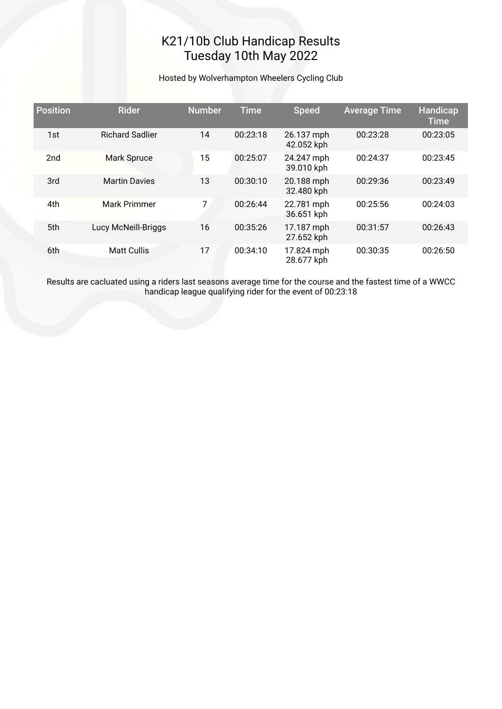## K21/10b Club Handicap Results Tuesday 10th May 2022

#### Hosted by Wolverhampton Wheelers Cycling Club

| <b>Position</b> | <b>Rider</b>           | <b>Number</b> | <b>Time</b> | <b>Speed</b>             | <b>Average Time</b> | Handicap<br><b>Time</b> |
|-----------------|------------------------|---------------|-------------|--------------------------|---------------------|-------------------------|
| 1st             | <b>Richard Sadlier</b> | 14            | 00:23:18    | 26.137 mph<br>42.052 kph | 00:23:28            | 00:23:05                |
| 2 <sub>nd</sub> | <b>Mark Spruce</b>     | 15            | 00:25:07    | 24.247 mph<br>39.010 kph | 00:24:37            | 00:23:45                |
| 3rd             | <b>Martin Davies</b>   | 13            | 00:30:10    | 20.188 mph<br>32.480 kph | 00:29:36            | 00:23:49                |
| 4th             | Mark Primmer           | 7             | 00:26:44    | 22.781 mph<br>36.651 kph | 00:25:56            | 00:24:03                |
| 5th             | Lucy McNeill-Briggs    | 16            | 00:35:26    | 17.187 mph<br>27.652 kph | 00:31:57            | 00:26:43                |
| 6th             | <b>Matt Cullis</b>     | 17            | 00:34:10    | 17.824 mph<br>28.677 kph | 00:30:35            | 00:26:50                |

Results are cacluated using a riders last seasons average time for the course and the fastest time of a WWCC handicap league qualifying rider for the event of 00:23:18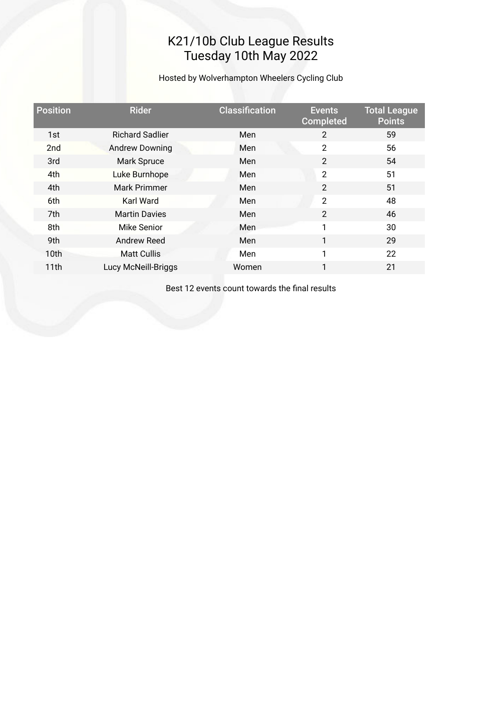### K21/10b Club League Results Tuesday 10th May 2022

Hosted by Wolverhampton Wheelers Cycling Club

| <b>Position</b> | <b>Rider</b>           | <b>Classification</b> | <b>Events</b><br><b>Completed</b> | <b>Total League</b><br><b>Points</b> |
|-----------------|------------------------|-----------------------|-----------------------------------|--------------------------------------|
| 1st             | <b>Richard Sadlier</b> | Men                   | $\overline{2}$                    | 59                                   |
| 2 <sub>nd</sub> | <b>Andrew Downing</b>  | Men                   | $\overline{2}$                    | 56                                   |
| 3rd             | Mark Spruce            | Men                   | $\overline{2}$                    | 54                                   |
| 4th             | Luke Burnhope          | Men                   | $\overline{2}$                    | 51                                   |
| 4th             | Mark Primmer           | Men                   | $\overline{2}$                    | 51                                   |
| 6th             | Karl Ward              | Men                   | $\overline{2}$                    | 48                                   |
| 7th             | <b>Martin Davies</b>   | Men                   | $\overline{2}$                    | 46                                   |
| 8th             | Mike Senior            | Men                   | 1                                 | 30                                   |
| 9th             | <b>Andrew Reed</b>     | Men                   | 1                                 | 29                                   |
| 10th            | <b>Matt Cullis</b>     | Men                   | 1                                 | 22                                   |
| 11th            | Lucy McNeill-Briggs    | Women                 | 1                                 | 21                                   |

Best 12 events count towards the fnal results